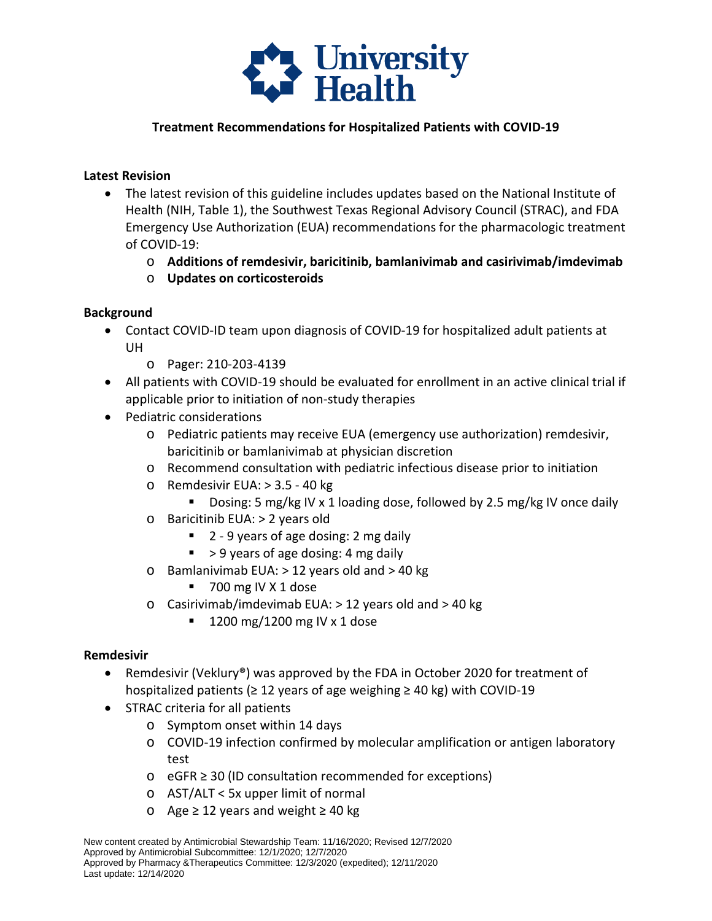

# **Treatment Recommendations for Hospitalized Patients with COVID-19**

### **Latest Revision**

- The latest revision of this guideline includes updates based on the National Institute of Health (NIH, Table 1), the Southwest Texas Regional Advisory Council (STRAC), and FDA Emergency Use Authorization (EUA) recommendations for the pharmacologic treatment of COVID-19:
	- o **Additions of remdesivir, baricitinib, bamlanivimab and casirivimab/imdevimab**
	- o **Updates on corticosteroids**

### **Background**

- • Contact COVID-ID team upon diagnosis of COVID-19 for hospitalized adult patients at UH
	- o Pager: 210-203-4139
- All patients with COVID-19 should be evaluated for enrollment in an active clinical trial if applicable prior to initiation of non-study therapies
- Pediatric considerations
	- o Pediatric patients may receive EUA (emergency use authorization) remdesivir, baricitinib or bamlanivimab at physician discretion
	- o Recommend consultation with pediatric infectious disease prior to initiation
	- o Remdesivir EUA: > 3.5 40 kg
		- Dosing: 5 mg/kg IV x 1 loading dose, followed by 2.5 mg/kg IV once daily
	- o Baricitinib EUA: > 2 years old
		- 2 9 years of age dosing: 2 mg daily
		- $\blacktriangleright$  > 9 years of age dosing: 4 mg daily
	- o Bamlanivimab EUA: > 12 years old and > 40 kg
		- 700 mg IV X 1 dose
	- o Casirivimab/imdevimab EUA: > 12 years old and > 40 kg
		- $\blacksquare$  1200 mg/1200 mg IV x 1 dose

### **Remdesivir**

- hospitalized patients (≥ 12 years of age weighing ≥ 40 kg) with COVID-19 • Remdesivir (Veklury<sup>®</sup>) was approved by the FDA in October 2020 for treatment of
- STRAC criteria for all patients
	- o Symptom onset within 14 days
	- o COVID-19 infection confirmed by molecular amplification or antigen laboratory test
	- o eGFR ≥ 30 (ID consultation recommended for exceptions)
	- o AST/ALT < 5x upper limit of normal
	- o Age ≥ 12 years and weight ≥ 40 kg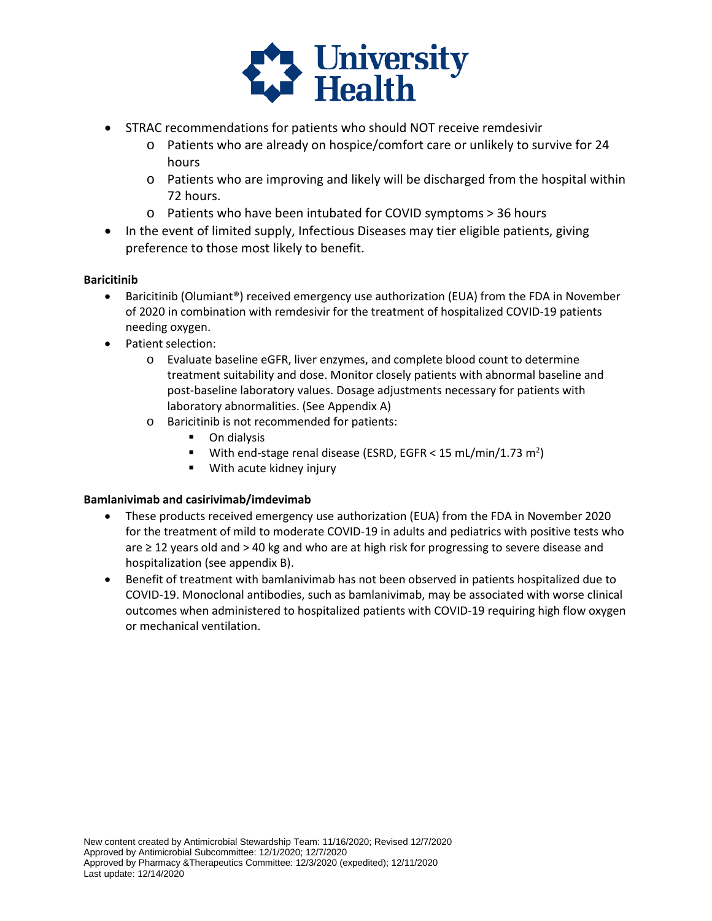

- STRAC recommendations for patients who should NOT receive remdesivir
	- o Patients who are already on hospice/comfort care or unlikely to survive for 24 hours
	- $\circ$  Patients who are improving and likely will be discharged from the hospital within 72 hours.
	- o Patients who have been intubated for COVID symptoms > 36 hours
- • In the event of limited supply, Infectious Diseases may tier eligible patients, giving preference to those most likely to benefit.

### **Baricitinib**

- • Baricitinib (Olumiant®) received emergency use authorization (EUA) from the FDA in November of 2020 in combination with remdesivir for the treatment of hospitalized COVID-19 patients needing oxygen.
- Patient selection:
	- o Evaluate baseline eGFR, liver enzymes, and complete blood count to determine treatment suitability and dose. Monitor closely patients with abnormal baseline and post-baseline laboratory values. Dosage adjustments necessary for patients with laboratory abnormalities. (See Appendix A)
	- o Baricitinib is not recommended for patients:
		- **•** On dialysis
		- **With end-stage renal disease (ESRD, EGFR < 15 [mL/min/1.73](https://mL/min/1.73) m<sup>2</sup>)**
		- **With acute kidney injury**

#### **Bamlanivimab and casirivimab/imdevimab**

- for the treatment of mild to moderate COVID-19 in adults and pediatrics with positive tests who are ≥ 12 years old and > 40 kg and who are at high risk for progressing to severe disease and • These products received emergency use authorization (EUA) from the FDA in November 2020 hospitalization (see appendix B).
- • Benefit of treatment with bamlanivimab has not been observed in patients hospitalized due to outcomes when administered to hospitalized patients with COVID-19 requiring high flow oxygen COVID-19. Monoclonal antibodies, such as bamlanivimab, may be associated with worse clinical or mechanical ventilation.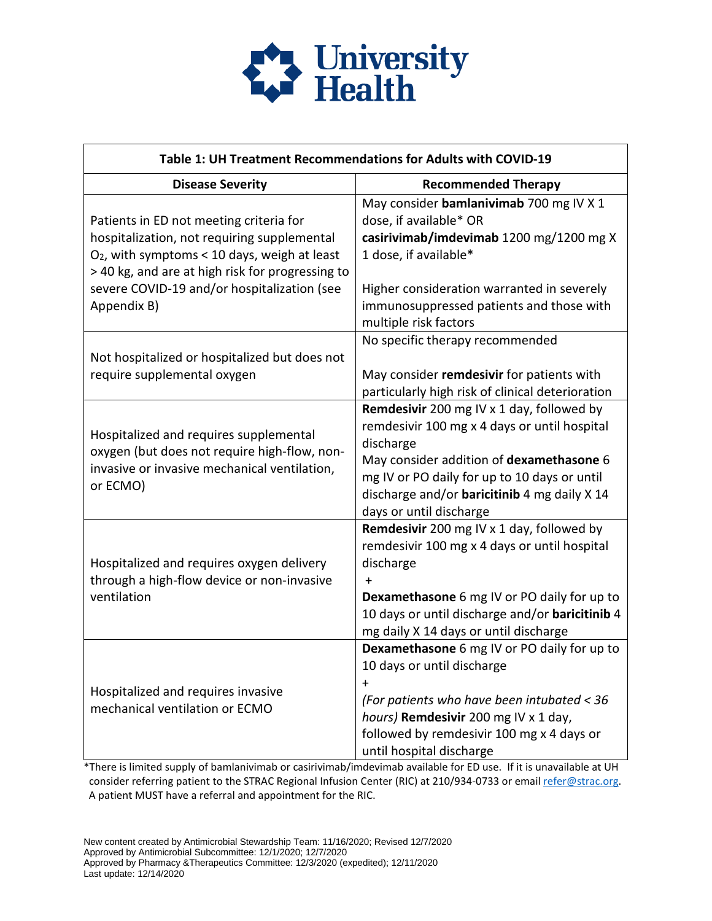

| Table 1: UH Treatment Recommendations for Adults with COVID-19                                                                                                                                                                                             |                                                                                                                                                                                                                                                                                      |  |
|------------------------------------------------------------------------------------------------------------------------------------------------------------------------------------------------------------------------------------------------------------|--------------------------------------------------------------------------------------------------------------------------------------------------------------------------------------------------------------------------------------------------------------------------------------|--|
| <b>Disease Severity</b>                                                                                                                                                                                                                                    | <b>Recommended Therapy</b>                                                                                                                                                                                                                                                           |  |
| Patients in ED not meeting criteria for<br>hospitalization, not requiring supplemental<br>$O2$ , with symptoms < 10 days, weigh at least<br>> 40 kg, and are at high risk for progressing to<br>severe COVID-19 and/or hospitalization (see<br>Appendix B) | May consider bamlanivimab 700 mg IV X 1<br>dose, if available* OR<br>casirivimab/imdevimab 1200 mg/1200 mg X<br>1 dose, if available*<br>Higher consideration warranted in severely<br>immunosuppressed patients and those with<br>multiple risk factors                             |  |
| Not hospitalized or hospitalized but does not<br>require supplemental oxygen                                                                                                                                                                               | No specific therapy recommended<br>May consider remdesivir for patients with<br>particularly high risk of clinical deterioration                                                                                                                                                     |  |
| Hospitalized and requires supplemental<br>oxygen (but does not require high-flow, non-<br>invasive or invasive mechanical ventilation,<br>or ECMO)                                                                                                         | Remdesivir 200 mg IV x 1 day, followed by<br>remdesivir 100 mg x 4 days or until hospital<br>discharge<br>May consider addition of dexamethasone 6<br>mg IV or PO daily for up to 10 days or until<br>discharge and/or <b>baricitinib</b> 4 mg daily X 14<br>days or until discharge |  |
| Hospitalized and requires oxygen delivery<br>through a high-flow device or non-invasive<br>ventilation                                                                                                                                                     | Remdesivir 200 mg IV x 1 day, followed by<br>remdesivir 100 mg x 4 days or until hospital<br>discharge<br>$\ddot{}$<br><b>Dexamethasone</b> 6 mg IV or PO daily for up to<br>10 days or until discharge and/or baricitinib 4<br>mg daily X 14 days or until discharge                |  |
| Hospitalized and requires invasive<br>mechanical ventilation or ECMO                                                                                                                                                                                       | Dexamethasone 6 mg IV or PO daily for up to<br>10 days or until discharge<br>$\ddag$<br>(For patients who have been intubated < 36<br>hours) Remdesivir 200 mg IV x 1 day,<br>followed by remdesivir 100 mg x 4 days or<br>until hospital discharge                                  |  |

\*There is limited supply of bamlanivimab or casirivimab/imdevimab available for ED use. If it is unavailable at UH consider referring patient to the STRAC Regional Infusion Center (RIC) at 210/934-0733 or emai[l refer@strac.org.](mailto:refer@strac.org) A patient MUST have a referral and appointment for the RIC.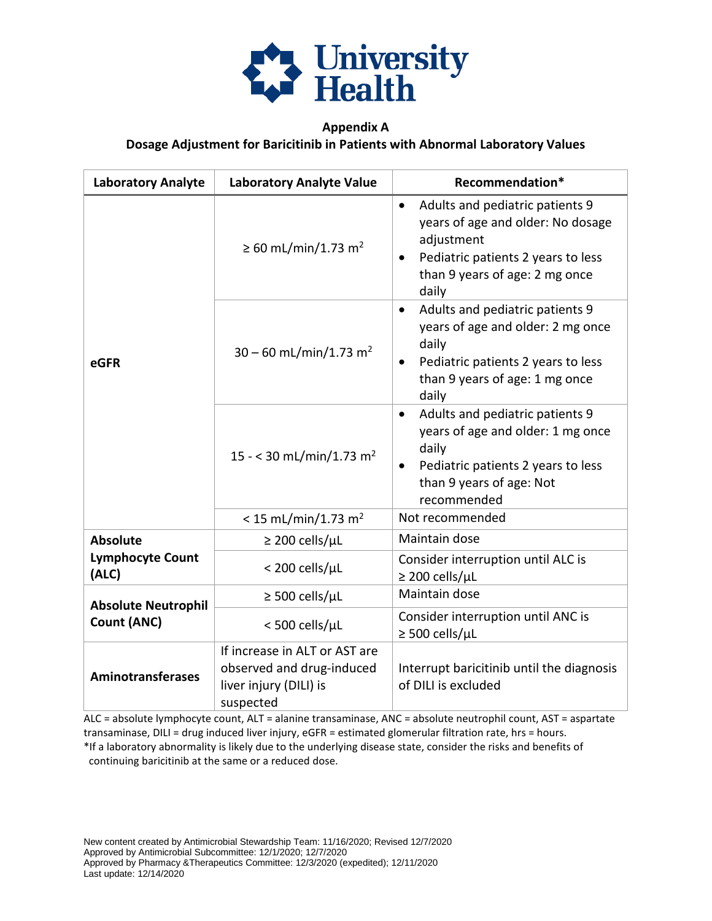

# **Appendix A Dosage Adjustment for Baricitinib in Patients with Abnormal Laboratory Values**

| <b>Laboratory Analyte</b>                                                         | <b>Laboratory Analyte Value</b>                                                                   | Recommendation*                                                                                                                                                                               |
|-----------------------------------------------------------------------------------|---------------------------------------------------------------------------------------------------|-----------------------------------------------------------------------------------------------------------------------------------------------------------------------------------------------|
|                                                                                   | ≥ 60 mL/min/1.73 m <sup>2</sup>                                                                   | Adults and pediatric patients 9<br>$\bullet$<br>years of age and older: No dosage<br>adjustment<br>Pediatric patients 2 years to less<br>$\bullet$<br>than 9 years of age: 2 mg once<br>daily |
| eGFR                                                                              | $30 - 60$ mL/min/1.73 m <sup>2</sup>                                                              | Adults and pediatric patients 9<br>$\bullet$<br>years of age and older: 2 mg once<br>daily<br>Pediatric patients 2 years to less<br>$\bullet$<br>than 9 years of age: 1 mg once<br>daily      |
|                                                                                   | 15 - < 30 mL/min/1.73 m <sup>2</sup>                                                              | Adults and pediatric patients 9<br>$\bullet$<br>years of age and older: 1 mg once<br>daily<br>Pediatric patients 2 years to less<br>than 9 years of age: Not<br>recommended                   |
|                                                                                   | < 15 mL/min/1.73 m <sup>2</sup>                                                                   | Not recommended                                                                                                                                                                               |
| <b>Absolute</b>                                                                   | $\geq$ 200 cells/µL                                                                               | Maintain dose                                                                                                                                                                                 |
| <b>Lymphocyte Count</b><br>(ALC)                                                  | < 200 cells/µL                                                                                    | Consider interruption until ALC is<br>$\geq$ 200 cells/µL                                                                                                                                     |
| $\geq$ 500 cells/µL<br><b>Absolute Neutrophil</b><br>Count (ANC)<br><500 cells/µL |                                                                                                   | Maintain dose                                                                                                                                                                                 |
|                                                                                   | Consider interruption until ANC is<br>$\geq$ 500 cells/µL                                         |                                                                                                                                                                                               |
| <b>Aminotransferases</b>                                                          | If increase in ALT or AST are<br>observed and drug-induced<br>liver injury (DILI) is<br>suspected | Interrupt baricitinib until the diagnosis<br>of DILI is excluded                                                                                                                              |

ALC = absolute lymphocyte count, ALT = alanine transaminase, ANC = absolute neutrophil count, AST = aspartate transaminase, DILI = drug induced liver injury, eGFR = estimated glomerular filtration rate, hrs = hours.

\*If a laboratory abnormality is likely due to the underlying disease state, consider the risks and benefits of continuing baricitinib at the same or a reduced dose.